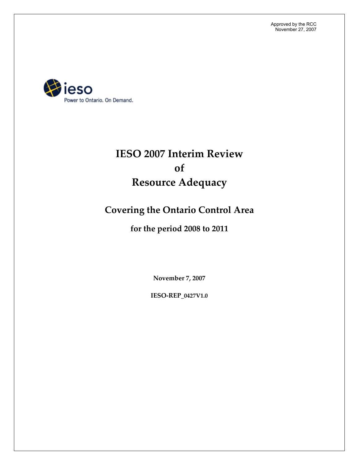

# **IESO 2007 Interim Review of Resource Adequacy**

# **Covering the Ontario Control Area**

**for the period 2008 to 2011**

**November 7, 2007**

**IESO‐REP\_0427V1.0**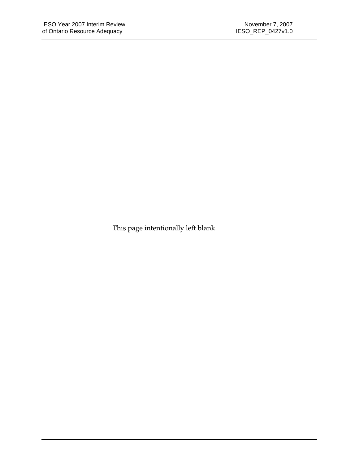This page intentionally left blank.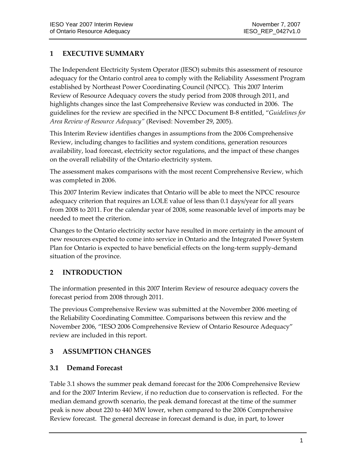## **1 EXECUTIVE SUMMARY**

The Independent Electricity System Operator (IESO) submits this assessment of resource adequacy for the Ontario control area to comply with the Reliability Assessment Program established by Northeast Power Coordinating Council (NPCC). This 2007 Interim Review of Resource Adequacy covers the study period from 2008 through 2011, and highlights changes since the last Comprehensive Review was conducted in 2006. The guidelines for the review are specified in the NPCC Document B‐8 entitled, "*Guidelines for Area Review of Resource Adequacy"* (Revised: November 29, 2005).

This Interim Review identifies changes in assumptions from the 2006 Comprehensive Review, including changes to facilities and system conditions, generation resources availability, load forecast, electricity sector regulations, and the impact of these changes on the overall reliability of the Ontario electricity system.

The assessment makes comparisons with the most recent Comprehensive Review, which was completed in 2006.

This 2007 Interim Review indicates that Ontario will be able to meet the NPCC resource adequacy criterion that requires an LOLE value of less than 0.1 days/year for all years from 2008 to 2011. For the calendar year of 2008, some reasonable level of imports may be needed to meet the criterion.

Changes to the Ontario electricity sector have resulted in more certainty in the amount of new resources expected to come into service in Ontario and the Integrated Power System Plan for Ontario is expected to have beneficial effects on the long-term supply-demand situation of the province.

#### **2 INTRODUCTION**

The information presented in this 2007 Interim Review of resource adequacy covers the forecast period from 2008 through 2011.

The previous Comprehensive Review was submitted at the November 2006 meeting of the Reliability Coordinating Committee. Comparisons between this review and the November 2006, "IESO 2006 Comprehensive Review of Ontario Resource Adequacy" review are included in this report.

# **3 ASSUMPTION CHANGES**

#### **3.1 Demand Forecast**

I

Table 3.1 shows the summer peak demand forecast for the 2006 Comprehensive Review and for the 2007 Interim Review, if no reduction due to conservation is reflected. For the median demand growth scenario, the peak demand forecast at the time of the summer peak is now about 220 to 440 MW lower, when compared to the 2006 Comprehensive Review forecast. The general decrease in forecast demand is due, in part, to lower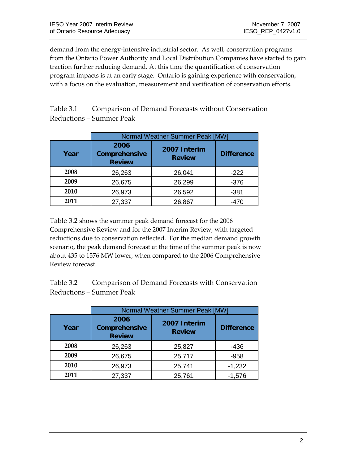demand from the energy‐intensive industrial sector. As well, conservation programs from the Ontario Power Authority and Local Distribution Companies have started to gain traction further reducing demand. At this time the quantification of conservation program impacts is at an early stage. Ontario is gaining experience with conservation, with a focus on the evaluation, measurement and verification of conservation efforts.

Table 3.1 Comparison of Demand Forecasts without Conservation Reductions – Summer Peak

|      | <b>Normal Weather Summer Peak [MW]</b> |                               |        |  |
|------|----------------------------------------|-------------------------------|--------|--|
| Year | 2006<br>Comprehensive<br><b>Review</b> | 2007 Interim<br><b>Review</b> |        |  |
| 2008 | 26,263                                 | 26,041                        | $-222$ |  |
| 2009 | 26,675                                 | 26,299                        | $-376$ |  |
| 2010 | 26,973                                 | 26,592                        | $-381$ |  |
| 2011 | 27,337                                 | 26,867                        | $-470$ |  |

Table 3.2 shows the summer peak demand forecast for the 2006 Comprehensive Review and for the 2007 Interim Review, with targeted reductions due to conservation reflected. For the median demand growth scenario, the peak demand forecast at the time of the summer peak is now about 435 to 1576 MW lower, when compared to the 2006 Comprehensive Review forecast.

Table 3.2 Comparison of Demand Forecasts with Conservation Reductions – Summer Peak

|      | <b>Normal Weather Summer Peak [MW]</b>                                  |        |                   |  |
|------|-------------------------------------------------------------------------|--------|-------------------|--|
| Year | 2006<br>2007 Interim<br>Comprehensive<br><b>Review</b><br><b>Review</b> |        | <b>Difference</b> |  |
| 2008 | 26,263                                                                  | 25,827 | $-436$            |  |
| 2009 | 26,675                                                                  | 25,717 | $-958$            |  |
| 2010 | 26,973                                                                  | 25,741 | $-1,232$          |  |
| 2011 | 27,337                                                                  | 25,761 | $-1,576$          |  |

I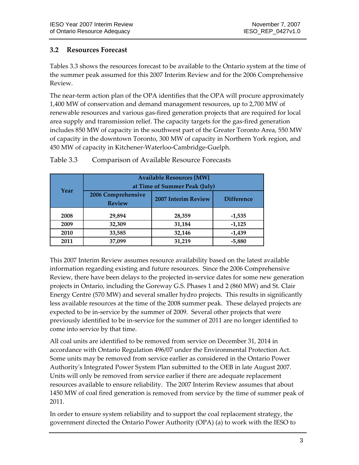#### **3.2 Resources Forecast**

I

Tables 3.3 shows the resources forecast to be available to the Ontario system at the time of the summer peak assumed for this 2007 Interim Review and for the 2006 Comprehensive Review.

The near-term action plan of the OPA identifies that the OPA will procure approximately 1,400 MW of conservation and demand management resources, up to 2,700 MW of renewable resources and various gas‐fired generation projects that are required for local area supply and transmission relief. The capacity targets for the gas‐fired generation includes 850 MW of capacity in the southwest part of the Greater Toronto Area, 550 MW of capacity in the downtown Toronto, 300 MW of capacity in Northern York region, and 450 MW of capacity in Kitchener‐Waterloo‐Cambridge‐Guelph.

|      | <b>Available Resources [MW]</b>     |                     |                   |  |
|------|-------------------------------------|---------------------|-------------------|--|
| Year | at Time of Summer Peak (July)       |                     |                   |  |
|      | 2006 Comprehensive<br><b>Review</b> | 2007 Interim Review | <b>Difference</b> |  |
| 2008 | 29,894                              | 28,359              | $-1,535$          |  |
| 2009 | 32,309                              | 31,184              | $-1,125$          |  |
| 2010 | 33,585                              | 32,146              | $-1,439$          |  |
| 2011 | 37,099                              | 31,219              | $-5,880$          |  |

#### Table 3.3 Comparison of Available Resource Forecasts

This 2007 Interim Review assumes resource availability based on the latest available information regarding existing and future resources. Since the 2006 Comprehensive Review, there have been delays to the projected in‐service dates for some new generation projects in Ontario, including the Goreway G.S. Phases 1 and 2 (860 MW) and St. Clair Energy Centre (570 MW) and several smaller hydro projects. This results in significantly less available resources at the time of the 2008 summer peak. These delayed projects are expected to be in‐service by the summer of 2009. Several other projects that were previously identified to be in‐service for the summer of 2011 are no longer identified to come into service by that time.

All coal units are identified to be removed from service on December 31, 2014 in accordance with Ontario Regulation 496/07 under the Environmental Protection Act. Some units may be removed from service earlier as considered in the Ontario Power Authorityʹs Integrated Power System Plan submitted to the OEB in late August 2007. Units will only be removed from service earlier if there are adequate replacement resources available to ensure reliability. The 2007 Interim Review assumes that about 1450 MW of coal fired generation is removed from service by the time of summer peak of 2011.

In order to ensure system reliability and to support the coal replacement strategy, the government directed the Ontario Power Authority (OPA) (a) to work with the IESO to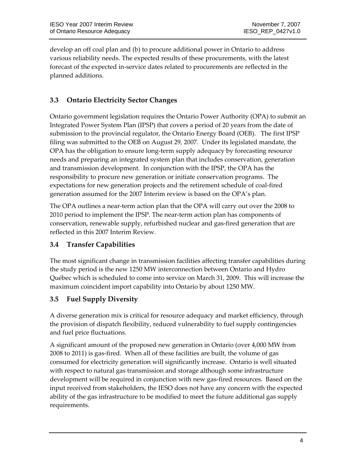develop an off coal plan and (b) to procure additional power in Ontario to address various reliability needs. The expected results of these procurements, with the latest forecast of the expected in‐service dates related to procurements are reflected in the planned additions.

# **3.3 Ontario Electricity Sector Changes**

Ontario government legislation requires the Ontario Power Authority (OPA) to submit an Integrated Power System Plan (IPSP) that covers a period of 20 years from the date of submission to the provincial regulator, the Ontario Energy Board (OEB). The first IPSP filing was submitted to the OEB on August 29, 2007. Under its legislated mandate, the OPA has the obligation to ensure long‐term supply adequacy by forecasting resource needs and preparing an integrated system plan that includes conservation, generation and transmission development. In conjunction with the IPSP, the OPA has the responsibility to procure new generation or initiate conservation programs. The expectations for new generation projects and the retirement schedule of coal-fired generation assumed for the 2007 Interim review is based on the OPA's plan.

The OPA outlines a near-term action plan that the OPA will carry out over the 2008 to 2010 period to implement the IPSP. The near-term action plan has components of conservation, renewable supply, refurbished nuclear and gas-fired generation that are reflected in this 2007 Interim Review.

#### **3.4 Transfer Capabilities**

The most significant change in transmission facilities affecting transfer capabilities during the study period is the new 1250 MW interconnection between Ontario and Hydro Québec which is scheduled to come into service on March 31, 2009. This will increase the maximum coincident import capability into Ontario by about 1250 MW.

# **3.5 Fuel Supply Diversity**

I

A diverse generation mix is critical for resource adequacy and market efficiency, through the provision of dispatch flexibility, reduced vulnerability to fuel supply contingencies and fuel price fluctuations.

A significant amount of the proposed new generation in Ontario (over 4,000 MW from 2008 to 2011) is gas‐fired. When all of these facilities are built, the volume of gas consumed for electricity generation will significantly increase. Ontario is well situated with respect to natural gas transmission and storage although some infrastructure development will be required in conjunction with new gas‐fired resources. Based on the input received from stakeholders, the IESO does not have any concern with the expected ability of the gas infrastructure to be modified to meet the future additional gas supply requirements.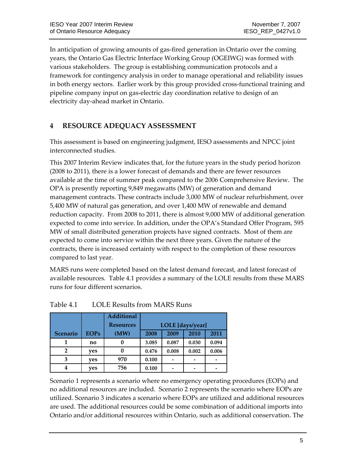In anticipation of growing amounts of gas-fired generation in Ontario over the coming years, the Ontario Gas Electric Interface Working Group (OGEIWG) was formed with various stakeholders. The group is establishing communication protocols and a framework for contingency analysis in order to manage operational and reliability issues in both energy sectors. Earlier work by this group provided cross-functional training and pipeline company input on gas‐electric day coordination relative to design of an electricity day‐ahead market in Ontario.

# **4 RESOURCE ADEQUACY ASSESSMENT**

This assessment is based on engineering judgment, IESO assessments and NPCC joint interconnected studies.

This 2007 Interim Review indicates that, for the future years in the study period horizon (2008 to 2011), there is a lower forecast of demands and there are fewer resources available at the time of summer peak compared to the 2006 Comprehensive Review. The OPA is presently reporting 9,849 megawatts (MW) of generation and demand management contracts. These contracts include 3,000 MW of nuclear refurbishment, over 5,400 MW of natural gas generation, and over 1,400 MW of renewable and demand reduction capacity. From 2008 to 2011, there is almost 9,000 MW of additional generation expected to come into service. In addition, under the OPA's Standard Offer Program, 595 MW of small distributed generation projects have signed contracts. Most of them are expected to come into service within the next three years. Given the nature of the contracts, there is increased certainty with respect to the completion of these resources compared to last year.

MARS runs were completed based on the latest demand forecast, and latest forecast of available resources. Table 4.1 provides a summary of the LOLE results from these MARS runs for four different scenarios.

|                 |             | <b>Additional</b><br><b>Resources</b> | <b>LOLE</b> [days/year] |       |       |       |
|-----------------|-------------|---------------------------------------|-------------------------|-------|-------|-------|
| <b>Scenario</b> | <b>EOPs</b> | (MW)                                  | 2008                    | 2009  | 2010  | 2011  |
|                 | no          |                                       | 3.085                   | 0.087 | 0.030 | 0.094 |
| 2               | yes         | 0                                     | 0.476                   | 0.008 | 0.002 | 0.006 |
| 3               | yes         | 970                                   | 0.100                   |       |       |       |
|                 | ves         | 756                                   | 0.100                   |       |       |       |

#### Table 4.1 LOLE Results from MARS Runs

I

Scenario 1 represents a scenario where no emergency operating procedures (EOPs) and no additional resources are included. Scenario 2 represents the scenario where EOPs are utilized. Scenario 3 indicates a scenario where EOPs are utilized and additional resources are used. The additional resources could be some combination of additional imports into Ontario and/or additional resources within Ontario, such as additional conservation. The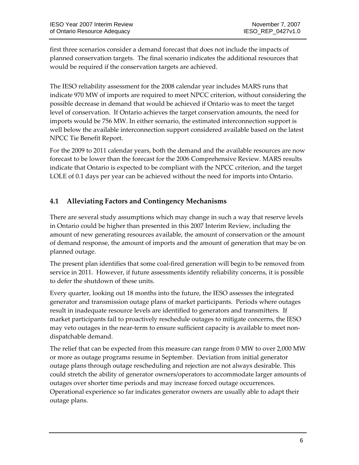I

first three scenarios consider a demand forecast that does not include the impacts of planned conservation targets. The final scenario indicates the additional resources that would be required if the conservation targets are achieved.

The IESO reliability assessment for the 2008 calendar year includes MARS runs that indicate 970 MW of imports are required to meet NPCC criterion, without considering the possible decrease in demand that would be achieved if Ontario was to meet the target level of conservation. If Ontario achieves the target conservation amounts, the need for imports would be 756 MW. In either scenario, the estimated interconnection support is well below the available interconnection support considered available based on the latest NPCC Tie Benefit Report.

For the 2009 to 2011 calendar years, both the demand and the available resources are now forecast to be lower than the forecast for the 2006 Comprehensive Review. MARS results indicate that Ontario is expected to be compliant with the NPCC criterion, and the target LOLE of 0.1 days per year can be achieved without the need for imports into Ontario.

## **4.1 Alleviating Factors and Contingency Mechanisms**

There are several study assumptions which may change in such a way that reserve levels in Ontario could be higher than presented in this 2007 Interim Review, including the amount of new generating resources available, the amount of conservation or the amount of demand response, the amount of imports and the amount of generation that may be on planned outage.

The present plan identifies that some coal-fired generation will begin to be removed from service in 2011. However, if future assessments identify reliability concerns, it is possible to defer the shutdown of these units.

Every quarter, looking out 18 months into the future, the IESO assesses the integrated generator and transmission outage plans of market participants. Periods where outages result in inadequate resource levels are identified to generators and transmitters. If market participants fail to proactively reschedule outages to mitigate concerns, the IESO may veto outages in the near-term to ensure sufficient capacity is available to meet nondispatchable demand.

The relief that can be expected from this measure can range from 0 MW to over 2,000 MW or more as outage programs resume in September. Deviation from initial generator outage plans through outage rescheduling and rejection are not always desirable. This could stretch the ability of generator owners/operators to accommodate larger amounts of outages over shorter time periods and may increase forced outage occurrences. Operational experience so far indicates generator owners are usually able to adapt their outage plans.